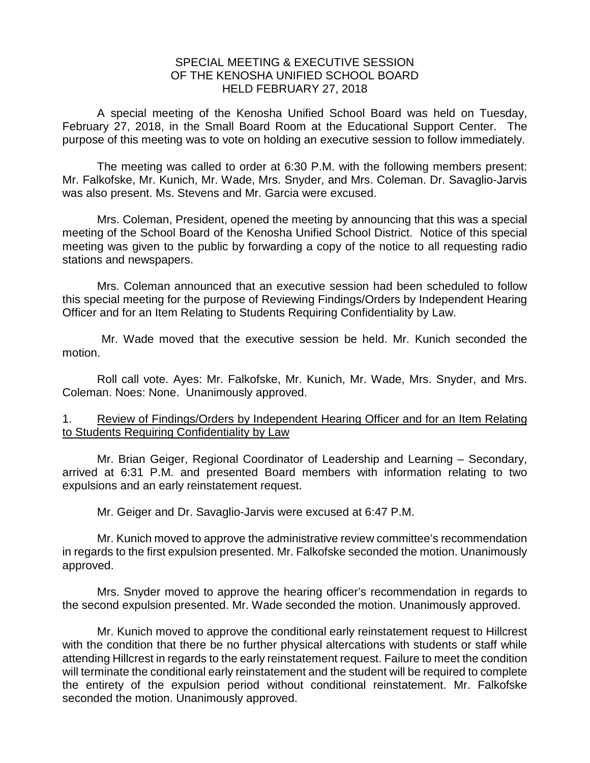## SPECIAL MEETING & EXECUTIVE SESSION OF THE KENOSHA UNIFIED SCHOOL BOARD HELD FEBRUARY 27, 2018

A special meeting of the Kenosha Unified School Board was held on Tuesday, February 27, 2018, in the Small Board Room at the Educational Support Center. The purpose of this meeting was to vote on holding an executive session to follow immediately.

The meeting was called to order at 6:30 P.M. with the following members present: Mr. Falkofske, Mr. Kunich, Mr. Wade, Mrs. Snyder, and Mrs. Coleman. Dr. Savaglio-Jarvis was also present. Ms. Stevens and Mr. Garcia were excused.

Mrs. Coleman, President, opened the meeting by announcing that this was a special meeting of the School Board of the Kenosha Unified School District. Notice of this special meeting was given to the public by forwarding a copy of the notice to all requesting radio stations and newspapers.

Mrs. Coleman announced that an executive session had been scheduled to follow this special meeting for the purpose of Reviewing Findings/Orders by Independent Hearing Officer and for an Item Relating to Students Requiring Confidentiality by Law.

Mr. Wade moved that the executive session be held. Mr. Kunich seconded the motion.

Roll call vote. Ayes: Mr. Falkofske, Mr. Kunich, Mr. Wade, Mrs. Snyder, and Mrs. Coleman. Noes: None. Unanimously approved.

## 1. Review of Findings/Orders by Independent Hearing Officer and for an Item Relating to Students Requiring Confidentiality by Law

Mr. Brian Geiger, Regional Coordinator of Leadership and Learning – Secondary, arrived at 6:31 P.M. and presented Board members with information relating to two expulsions and an early reinstatement request.

Mr. Geiger and Dr. Savaglio-Jarvis were excused at 6:47 P.M.

Mr. Kunich moved to approve the administrative review committee's recommendation in regards to the first expulsion presented. Mr. Falkofske seconded the motion. Unanimously approved.

Mrs. Snyder moved to approve the hearing officer's recommendation in regards to the second expulsion presented. Mr. Wade seconded the motion. Unanimously approved.

Mr. Kunich moved to approve the conditional early reinstatement request to Hillcrest with the condition that there be no further physical altercations with students or staff while attending Hillcrest in regards to the early reinstatement request. Failure to meet the condition will terminate the conditional early reinstatement and the student will be required to complete the entirety of the expulsion period without conditional reinstatement. Mr. Falkofske seconded the motion. Unanimously approved.